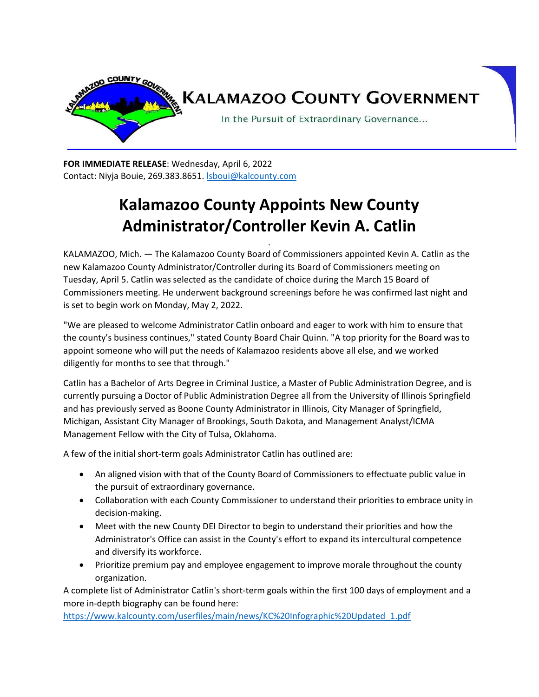

**FOR IMMEDIATE RELEASE**: Wednesday, April 6, 2022 Contact: Niyja Bouie, 269.383.8651[. lsboui@kalcounty.com](mailto:lsboui@kalcounty.com)

## **Kalamazoo County Appoints New County Administrator/Controller Kevin A. Catlin**

.

KALAMAZOO, Mich. — The Kalamazoo County Board of Commissioners appointed Kevin A. Catlin as the new Kalamazoo County Administrator/Controller during its Board of Commissioners meeting on Tuesday, April 5. Catlin was selected as the candidate of choice during the March 15 Board of Commissioners meeting. He underwent background screenings before he was confirmed last night and is set to begin work on Monday, May 2, 2022.

"We are pleased to welcome Administrator Catlin onboard and eager to work with him to ensure that the county's business continues," stated County Board Chair Quinn. "A top priority for the Board was to appoint someone who will put the needs of Kalamazoo residents above all else, and we worked diligently for months to see that through."

Catlin has a Bachelor of Arts Degree in Criminal Justice, a Master of Public Administration Degree, and is currently pursuing a Doctor of Public Administration Degree all from the University of Illinois Springfield and has previously served as Boone County Administrator in Illinois, City Manager of Springfield, Michigan, Assistant City Manager of Brookings, South Dakota, and Management Analyst/ICMA Management Fellow with the City of Tulsa, Oklahoma.

A few of the initial short-term goals Administrator Catlin has outlined are:

- An aligned vision with that of the County Board of Commissioners to effectuate public value in the pursuit of extraordinary governance.
- Collaboration with each County Commissioner to understand their priorities to embrace unity in decision-making.
- Meet with the new County DEI Director to begin to understand their priorities and how the Administrator's Office can assist in the County's effort to expand its intercultural competence and diversify its workforce.
- Prioritize premium pay and employee engagement to improve morale throughout the county organization.

A complete list of Administrator Catlin's short-term goals within the first 100 days of employment and a more in-depth biography can be found here:

[https://www.kalcounty.com/userfiles/main/news/KC%20Infographic%20Updated\\_1.pdf](https://www.kalcounty.com/userfiles/main/news/KC%20Infographic%20Updated_1.pdf)